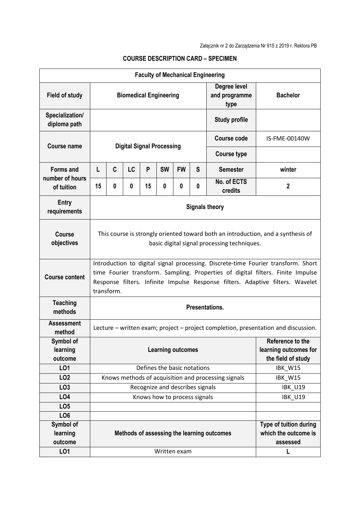|                                  |                                                                                                                                                                                                                                                                      |          |           |                      |                              |           |   | <b>Faculty of Mechanical Engineering</b>            |                        |
|----------------------------------|----------------------------------------------------------------------------------------------------------------------------------------------------------------------------------------------------------------------------------------------------------------------|----------|-----------|----------------------|------------------------------|-----------|---|-----------------------------------------------------|------------------------|
| <b>Field of study</b>            | <b>Biomedical Engineering</b>                                                                                                                                                                                                                                        |          |           |                      |                              |           |   | Degree level<br>and programme<br>type               | <b>Bachelor</b>        |
| Specialization/<br>diploma path  |                                                                                                                                                                                                                                                                      |          |           | <b>Study profile</b> |                              |           |   |                                                     |                        |
| <b>Course name</b>               | <b>Digital Signal Processing</b>                                                                                                                                                                                                                                     |          |           |                      |                              |           |   | Course code                                         | IS-FME-00140W          |
|                                  |                                                                                                                                                                                                                                                                      |          |           |                      |                              |           |   | <b>Course type</b>                                  |                        |
| <b>Forms and</b>                 | L                                                                                                                                                                                                                                                                    | C        | <b>LC</b> | P                    | <b>SW</b>                    | <b>FW</b> | S | <b>Semester</b>                                     | winter                 |
| number of hours<br>of tuition    | 15                                                                                                                                                                                                                                                                   | $\bf{0}$ | 0         | 15                   | $\mathbf{0}$                 | $\bf{0}$  | 0 | No. of ECTS<br>credits                              | $\overline{2}$         |
| <b>Entry</b><br>requirements     | <b>Signals theory</b>                                                                                                                                                                                                                                                |          |           |                      |                              |           |   |                                                     |                        |
| <b>Course</b><br>objectives      | This course is strongly oriented toward both an introduction, and a synthesis of<br>basic digital signal processing techniques.                                                                                                                                      |          |           |                      |                              |           |   |                                                     |                        |
| <b>Course content</b>            | Introduction to digital signal processing. Discrete-time Fourier transform. Short<br>time Fourier transform. Sampling. Properties of digital filters. Finite Impulse<br>Response filters. Infinite Impulse Response filters. Adaptive filters. Wavelet<br>transform. |          |           |                      |                              |           |   |                                                     |                        |
| <b>Teaching</b><br>methods       | <b>Presentations.</b>                                                                                                                                                                                                                                                |          |           |                      |                              |           |   |                                                     |                        |
| <b>Assessment</b><br>method      | Lecture – written exam; project – project completion, presentation and discussion.                                                                                                                                                                                   |          |           |                      |                              |           |   |                                                     |                        |
| Symbol of<br>learning<br>outcome | Reference to the<br>learning outcomes for<br><b>Learning outcomes</b><br>the field of study                                                                                                                                                                          |          |           |                      |                              |           |   |                                                     |                        |
| LO1                              |                                                                                                                                                                                                                                                                      |          |           |                      | Defines the basic notations  |           |   |                                                     | IBK_W15                |
| LO <sub>2</sub>                  |                                                                                                                                                                                                                                                                      |          |           |                      |                              |           |   | Knows methods of acquisition and processing signals | IBK_W15                |
| LO <sub>3</sub>                  | Recognize and describes signals                                                                                                                                                                                                                                      |          |           |                      |                              |           |   |                                                     | <b>IBK_U19</b>         |
| LO <sub>4</sub>                  |                                                                                                                                                                                                                                                                      |          |           |                      | Knows how to process signals |           |   |                                                     | <b>IBK_U19</b>         |
| LO <sub>5</sub>                  |                                                                                                                                                                                                                                                                      |          |           |                      |                              |           |   |                                                     |                        |
| LO <sub>6</sub>                  |                                                                                                                                                                                                                                                                      |          |           |                      |                              |           |   |                                                     |                        |
| Symbol of                        |                                                                                                                                                                                                                                                                      |          |           |                      |                              |           |   |                                                     | Type of tuition during |
| learning                         | which the outcome is<br>Methods of assessing the learning outcomes                                                                                                                                                                                                   |          |           |                      |                              |           |   |                                                     |                        |
| outcome                          |                                                                                                                                                                                                                                                                      |          |           |                      |                              |           |   |                                                     | assessed               |
| LO1                              | Written exam<br>L                                                                                                                                                                                                                                                    |          |           |                      |                              |           |   |                                                     |                        |

## **COURSE DESCRIPTION CARD – SPECIMEN**